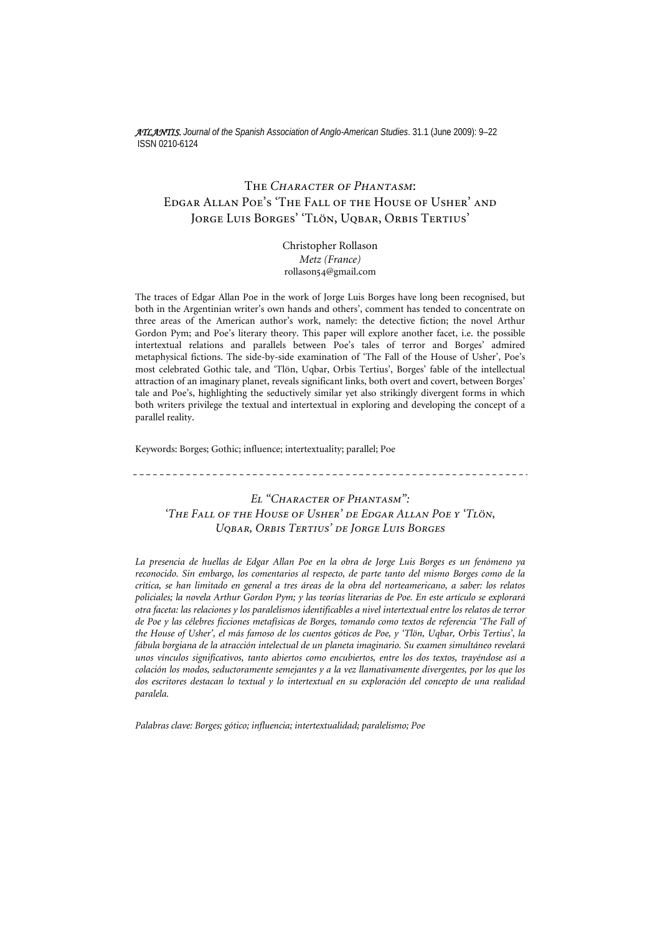*ATLANTIS. Journal of the Spanish Association of Anglo-American Studies*. 31.1 (June 2009): 9–22 ISSN 0210-6124

## The *Character of Phantasm*: Edgar Allan Poe's 'The Fall of the House of Usher' and Jorge Luis Borges' 'Tlön, Uqbar, Orbis Tertius'

Christopher Rollason *Metz (France)*  rollason54@gmail.com

The traces of Edgar Allan Poe in the work of Jorge Luis Borges have long been recognised, but both in the Argentinian writer's own hands and others', comment has tended to concentrate on three areas of the American author's work, namely: the detective fiction; the novel Arthur Gordon Pym; and Poe's literary theory. This paper will explore another facet, i.e. the possible intertextual relations and parallels between Poe's tales of terror and Borges' admired metaphysical fictions. The side-by-side examination of 'The Fall of the House of Usher', Poe's most celebrated Gothic tale, and 'Tlön, Uqbar, Orbis Tertius', Borges' fable of the intellectual attraction of an imaginary planet, reveals significant links, both overt and covert, between Borges' tale and Poe's, highlighting the seductively similar yet also strikingly divergent forms in which both writers privilege the textual and intertextual in exploring and developing the concept of a parallel reality.

Keywords: Borges; Gothic; influence; intertextuality; parallel; Poe

*El "Character of Phantasm": 'The Fall of the House of Usher' de Edgar Allan Poe y 'Tlön, Uqbar, Orbis Tertius' de Jorge Luis Borges*

*La presencia de huellas de Edgar Allan Poe en la obra de Jorge Luis Borges es un fenómeno ya reconocido. Sin embargo, los comentarios al respecto, de parte tanto del mismo Borges como de la crítica, se han limitado en general a tres áreas de la obra del norteamericano, a saber: los relatos policiales; la novela Arthur Gordon Pym; y las teorías literarias de Poe. En este artículo se explorará otra faceta: las relaciones y los paralelismos identificables a nivel intertextual entre los relatos de terror de Poe y las célebres ficciones metafísicas de Borges, tomando como textos de referencia 'The Fall of the House of Usher', el más famoso de los cuentos góticos de Poe, y 'Tlön, Uqbar, Orbis Tertius', la fábula borgiana de la atracción intelectual de un planeta imaginario. Su examen simultáneo revelará unos vínculos significativos, tanto abiertos como encubiertos, entre los dos textos, trayéndose así a colación los modos, seductoramente semejantes y a la vez llamativamente divergentes, por los que los dos escritores destacan lo textual y lo intertextual en su exploración del concepto de una realidad paralela.* 

*Palabras clave: Borges; gótico; influencia; intertextualidad; paralelismo; Poe*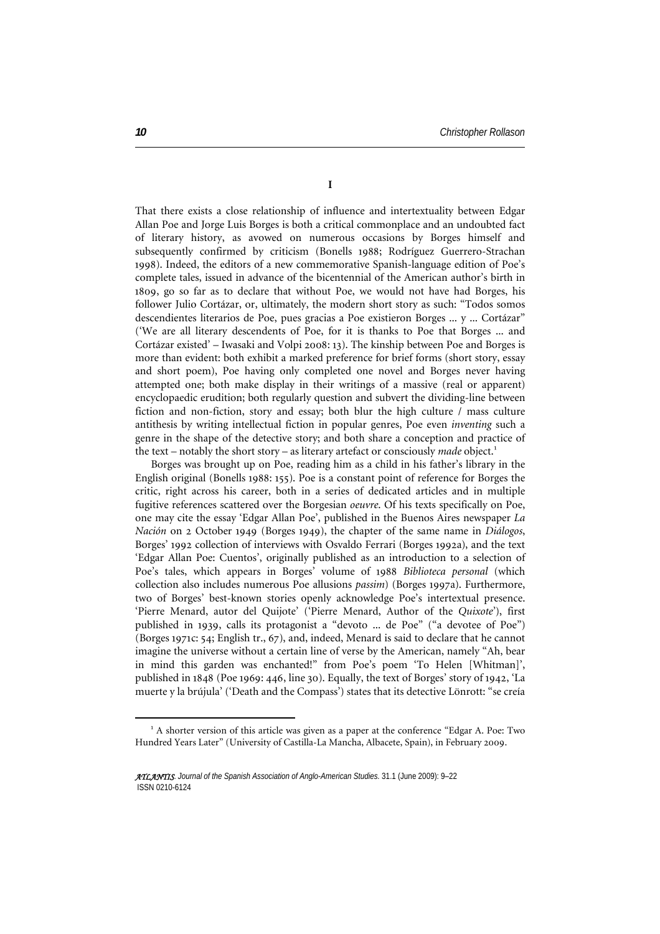**I** 

That there exists a close relationship of influence and intertextuality between Edgar Allan Poe and Jorge Luis Borges is both a critical commonplace and an undoubted fact of literary history, as avowed on numerous occasions by Borges himself and subsequently confirmed by criticism (Bonells 1988; Rodríguez Guerrero-Strachan 1998). Indeed, the editors of a new commemorative Spanish-language edition of Poe's complete tales, issued in advance of the bicentennial of the American author's birth in 1809, go so far as to declare that without Poe, we would not have had Borges, his follower Julio Cortázar, or, ultimately, the modern short story as such: "Todos somos descendientes literarios de Poe, pues gracias a Poe existieron Borges ... y ... Cortázar" ('We are all literary descendents of Poe, for it is thanks to Poe that Borges ... and Cortázar existed' – Iwasaki and Volpi 2008: 13). The kinship between Poe and Borges is more than evident: both exhibit a marked preference for brief forms (short story, essay and short poem), Poe having only completed one novel and Borges never having attempted one; both make display in their writings of a massive (real or apparent) encyclopaedic erudition; both regularly question and subvert the dividing-line between fiction and non-fiction, story and essay; both blur the high culture / mass culture antithesis by writing intellectual fiction in popular genres, Poe even *inventing* such a genre in the shape of the detective story; and both share a conception and practice of the text – notably the short story – as literary artefact or consciously *made* object.<sup>[1](#page-1-0)</sup>

Borges was brought up on Poe, reading him as a child in his father's library in the English original (Bonells 1988: 155). Poe is a constant point of reference for Borges the critic, right across his career, both in a series of dedicated articles and in multiple fugitive references scattered over the Borgesian *oeuvre*. Of his texts specifically on Poe, one may cite the essay 'Edgar Allan Poe', published in the Buenos Aires newspaper *La Nación* on 2 October 1949 (Borges 1949), the chapter of the same name in *Diálogos*, Borges' 1992 collection of interviews with Osvaldo Ferrari (Borges 1992a), and the text 'Edgar Allan Poe: Cuentos', originally published as an introduction to a selection of Poe's tales, which appears in Borges' volume of 1988 *Biblioteca personal* (which collection also includes numerous Poe allusions *passim*) (Borges 1997a). Furthermore, two of Borges' best-known stories openly acknowledge Poe's intertextual presence. 'Pierre Menard, autor del Quijote' ('Pierre Menard, Author of the *Quixote*'), first published in 1939, calls its protagonist a "devoto ... de Poe" ("a devotee of Poe") (Borges 1971c: 54; English tr., 67), and, indeed, Menard is said to declare that he cannot imagine the universe without a certain line of verse by the American, namely "Ah, bear in mind this garden was enchanted!" from Poe's poem 'To Helen [Whitman]', published in 1848 (Poe 1969: 446, line 30). Equally, the text of Borges' story of 1942, 'La muerte y la brújula' ('Death and the Compass') states that its detective Lönrott: "se creía

 $\overline{a}$ 

<span id="page-1-0"></span><sup>&</sup>lt;sup>1</sup> A shorter version of this article was given as a paper at the conference "Edgar A. Poe: Two Hundred Years Later" (University of Castilla-La Mancha, Albacete, Spain), in February 2009.

*ATLANTIS*. *Journal of the Spanish Association of Anglo-American Studies.* 31.1 (June 2009): 9–22 ISSN 0210-6124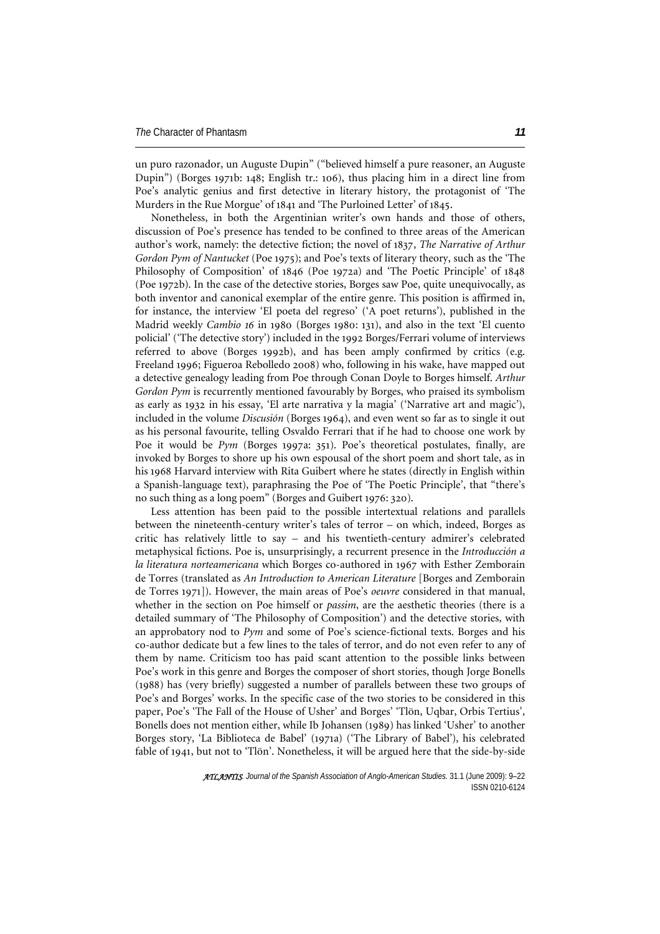un puro razonador, un Auguste Dupin" ("believed himself a pure reasoner, an Auguste Dupin") (Borges 1971b: 148; English tr.: 106), thus placing him in a direct line from Poe's analytic genius and first detective in literary history, the protagonist of 'The Murders in the Rue Morgue' of 1841 and 'The Purloined Letter' of 1845.

Nonetheless, in both the Argentinian writer's own hands and those of others, discussion of Poe's presence has tended to be confined to three areas of the American author's work, namely: the detective fiction; the novel of 1837, *The Narrative of Arthur Gordon Pym of Nantucket* (Poe 1975); and Poe's texts of literary theory, such as the 'The Philosophy of Composition' of 1846 (Poe 1972a) and 'The Poetic Principle' of 1848 (Poe 1972b). In the case of the detective stories, Borges saw Poe, quite unequivocally, as both inventor and canonical exemplar of the entire genre. This position is affirmed in, for instance, the interview 'El poeta del regreso' ('A poet returns'), published in the Madrid weekly *Cambio 16* in 1980 (Borges 1980: 131), and also in the text 'El cuento policial' ('The detective story') included in the 1992 Borges/Ferrari volume of interviews referred to above (Borges 1992b), and has been amply confirmed by critics (e.g. Freeland 1996; Figueroa Rebolledo 2008) who, following in his wake, have mapped out a detective genealogy leading from Poe through Conan Doyle to Borges himself. *Arthur Gordon Pym* is recurrently mentioned favourably by Borges, who praised its symbolism as early as 1932 in his essay, 'El arte narrativa y la magia' ('Narrative art and magic'), included in the volume *Discusión* (Borges 1964), and even went so far as to single it out as his personal favourite, telling Osvaldo Ferrari that if he had to choose one work by Poe it would be *Pym* (Borges 1997a: 351). Poe's theoretical postulates, finally, are invoked by Borges to shore up his own espousal of the short poem and short tale, as in his 1968 Harvard interview with Rita Guibert where he states (directly in English within a Spanish-language text), paraphrasing the Poe of 'The Poetic Principle', that "there's no such thing as a long poem" (Borges and Guibert 1976: 320).

Less attention has been paid to the possible intertextual relations and parallels between the nineteenth-century writer's tales of terror – on which, indeed, Borges as critic has relatively little to say – and his twentieth-century admirer's celebrated metaphysical fictions. Poe is, unsurprisingly, a recurrent presence in the *Introducción a la literatura norteamericana* which Borges co-authored in 1967 with Esther Zemborain de Torres (translated as *An Introduction to American Literature* [Borges and Zemborain de Torres 1971]). However, the main areas of Poe's *oeuvre* considered in that manual, whether in the section on Poe himself or *passim*, are the aesthetic theories (there is a detailed summary of 'The Philosophy of Composition') and the detective stories, with an approbatory nod to *Pym* and some of Poe's science-fictional texts. Borges and his co-author dedicate but a few lines to the tales of terror, and do not even refer to any of them by name. Criticism too has paid scant attention to the possible links between Poe's work in this genre and Borges the composer of short stories, though Jorge Bonells (1988) has (very briefly) suggested a number of parallels between these two groups of Poe's and Borges' works. In the specific case of the two stories to be considered in this paper, Poe's 'The Fall of the House of Usher' and Borges' 'Tlön, Uqbar, Orbis Tertius', Bonells does not mention either, while Ib Johansen (1989) has linked 'Usher' to another Borges story, 'La Biblioteca de Babel' (1971a) ('The Library of Babel'), his celebrated fable of 1941, but not to 'Tlön'. Nonetheless, it will be argued here that the side-by-side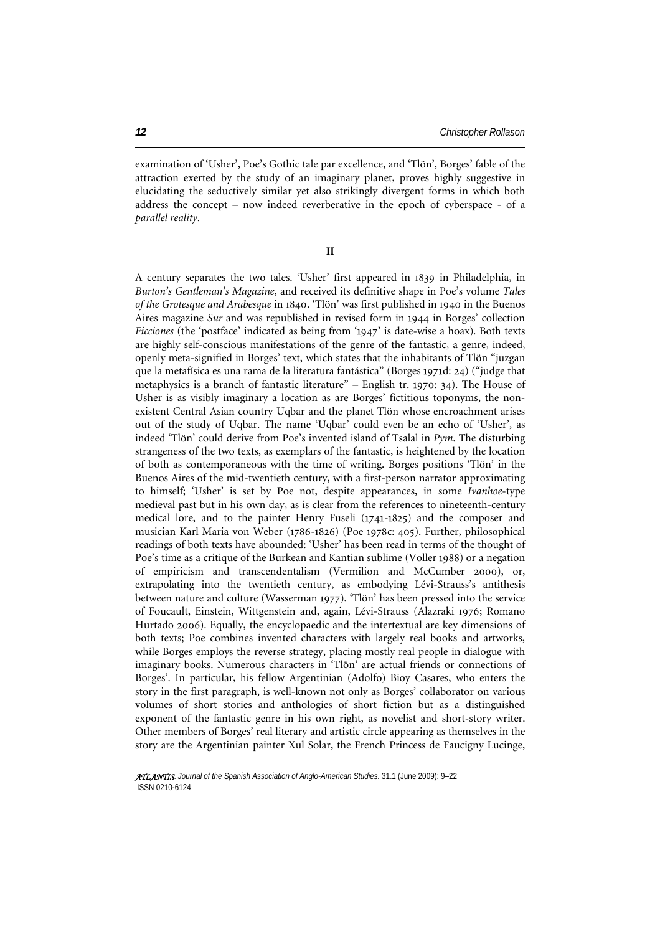examination of 'Usher', Poe's Gothic tale par excellence, and 'Tlön', Borges' fable of the attraction exerted by the study of an imaginary planet, proves highly suggestive in elucidating the seductively similar yet also strikingly divergent forms in which both address the concept – now indeed reverberative in the epoch of cyberspace - of a *parallel reality*.

**II** 

A century separates the two tales. 'Usher' first appeared in 1839 in Philadelphia, in *Burton's Gentleman's Magazine*, and received its definitive shape in Poe's volume *Tales of the Grotesque and Arabesque* in 1840. 'Tlön' was first published in 1940 in the Buenos Aires magazine *Sur* and was republished in revised form in 1944 in Borges' collection *Ficciones* (the 'postface' indicated as being from '1947' is date-wise a hoax). Both texts are highly self-conscious manifestations of the genre of the fantastic, a genre, indeed, openly meta-signified in Borges' text, which states that the inhabitants of Tlön "juzgan que la metafísica es una rama de la literatura fantástica" (Borges 1971d: 24) ("judge that metaphysics is a branch of fantastic literature" – English tr. 1970: 34). The House of Usher is as visibly imaginary a location as are Borges' fictitious toponyms, the nonexistent Central Asian country Uqbar and the planet Tlön whose encroachment arises out of the study of Uqbar. The name 'Uqbar' could even be an echo of 'Usher', as indeed 'Tlön' could derive from Poe's invented island of Tsalal in *Pym*. The disturbing strangeness of the two texts, as exemplars of the fantastic, is heightened by the location of both as contemporaneous with the time of writing. Borges positions 'Tlön' in the Buenos Aires of the mid-twentieth century, with a first-person narrator approximating to himself; 'Usher' is set by Poe not, despite appearances, in some *Ivanhoe*-type medieval past but in his own day, as is clear from the references to nineteenth-century medical lore, and to the painter Henry Fuseli (1741-1825) and the composer and musician Karl Maria von Weber (1786-1826) (Poe 1978c: 405). Further, philosophical readings of both texts have abounded: 'Usher' has been read in terms of the thought of Poe's time as a critique of the Burkean and Kantian sublime (Voller 1988) or a negation of empiricism and transcendentalism (Vermilion and McCumber 2000), or, extrapolating into the twentieth century, as embodying Lévi-Strauss's antithesis between nature and culture (Wasserman 1977). 'Tlön' has been pressed into the service of Foucault, Einstein, Wittgenstein and, again, Lévi-Strauss (Alazraki 1976; Romano Hurtado 2006). Equally, the encyclopaedic and the intertextual are key dimensions of both texts; Poe combines invented characters with largely real books and artworks, while Borges employs the reverse strategy, placing mostly real people in dialogue with imaginary books. Numerous characters in 'Tlön' are actual friends or connections of Borges'. In particular, his fellow Argentinian (Adolfo) Bioy Casares, who enters the story in the first paragraph, is well-known not only as Borges' collaborator on various volumes of short stories and anthologies of short fiction but as a distinguished exponent of the fantastic genre in his own right, as novelist and short-story writer. Other members of Borges' real literary and artistic circle appearing as themselves in the story are the Argentinian painter Xul Solar, the French Princess de Faucigny Lucinge,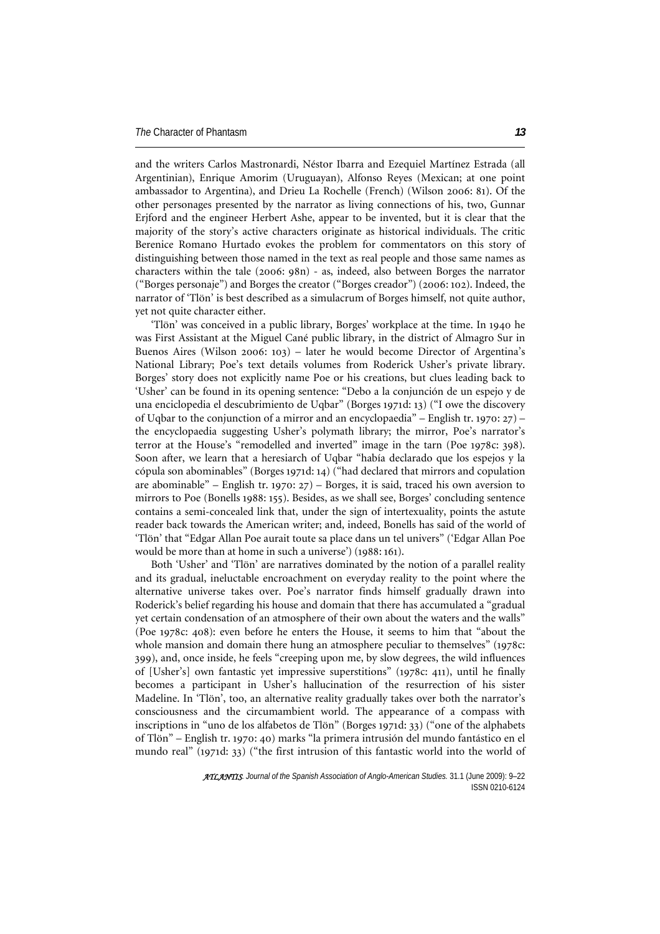and the writers Carlos Mastronardi, Néstor Ibarra and Ezequiel Martínez Estrada (all Argentinian), Enrique Amorim (Uruguayan), Alfonso Reyes (Mexican; at one point ambassador to Argentina), and Drieu La Rochelle (French) (Wilson 2006: 81). Of the other personages presented by the narrator as living connections of his, two, Gunnar Erjford and the engineer Herbert Ashe, appear to be invented, but it is clear that the majority of the story's active characters originate as historical individuals. The critic Berenice Romano Hurtado evokes the problem for commentators on this story of distinguishing between those named in the text as real people and those same names as characters within the tale (2006: 98n) - as, indeed, also between Borges the narrator ("Borges personaje") and Borges the creator ("Borges creador") (2006: 102). Indeed, the narrator of 'Tlön' is best described as a simulacrum of Borges himself, not quite author, yet not quite character either.

'Tlön' was conceived in a public library, Borges' workplace at the time. In 1940 he was First Assistant at the Miguel Cané public library, in the district of Almagro Sur in Buenos Aires (Wilson 2006: 103) – later he would become Director of Argentina's National Library; Poe's text details volumes from Roderick Usher's private library. Borges' story does not explicitly name Poe or his creations, but clues leading back to 'Usher' can be found in its opening sentence: "Debo a la conjunción de un espejo y de una enciclopedia el descubrimiento de Uqbar" (Borges 1971d: 13) ("I owe the discovery of Uqbar to the conjunction of a mirror and an encyclopaedia" – English tr. 1970: 27) – the encyclopaedia suggesting Usher's polymath library; the mirror, Poe's narrator's terror at the House's "remodelled and inverted" image in the tarn (Poe 1978c: 398). Soon after, we learn that a heresiarch of Uqbar "había declarado que los espejos y la cópula son abominables" (Borges 1971d: 14) ("had declared that mirrors and copulation are abominable" – English tr. 1970:  $27$ ) – Borges, it is said, traced his own aversion to mirrors to Poe (Bonells 1988: 155). Besides, as we shall see, Borges' concluding sentence contains a semi-concealed link that, under the sign of intertexuality, points the astute reader back towards the American writer; and, indeed, Bonells has said of the world of 'Tlön' that "Edgar Allan Poe aurait toute sa place dans un tel univers" ('Edgar Allan Poe would be more than at home in such a universe') (1988: 161).

Both 'Usher' and 'Tlön' are narratives dominated by the notion of a parallel reality and its gradual, ineluctable encroachment on everyday reality to the point where the alternative universe takes over. Poe's narrator finds himself gradually drawn into Roderick's belief regarding his house and domain that there has accumulated a "gradual yet certain condensation of an atmosphere of their own about the waters and the walls" (Poe 1978c: 408): even before he enters the House, it seems to him that "about the whole mansion and domain there hung an atmosphere peculiar to themselves" (1978c: 399), and, once inside, he feels "creeping upon me, by slow degrees, the wild influences of [Usher's] own fantastic yet impressive superstitions" (1978c: 411), until he finally becomes a participant in Usher's hallucination of the resurrection of his sister Madeline. In 'Tlön', too, an alternative reality gradually takes over both the narrator's consciousness and the circumambient world. The appearance of a compass with inscriptions in "uno de los alfabetos de Tlön" (Borges 1971d: 33) ("one of the alphabets of Tlön" – English tr. 1970: 40) marks "la primera intrusión del mundo fantástico en el mundo real" (1971d: 33) ("the first intrusion of this fantastic world into the world of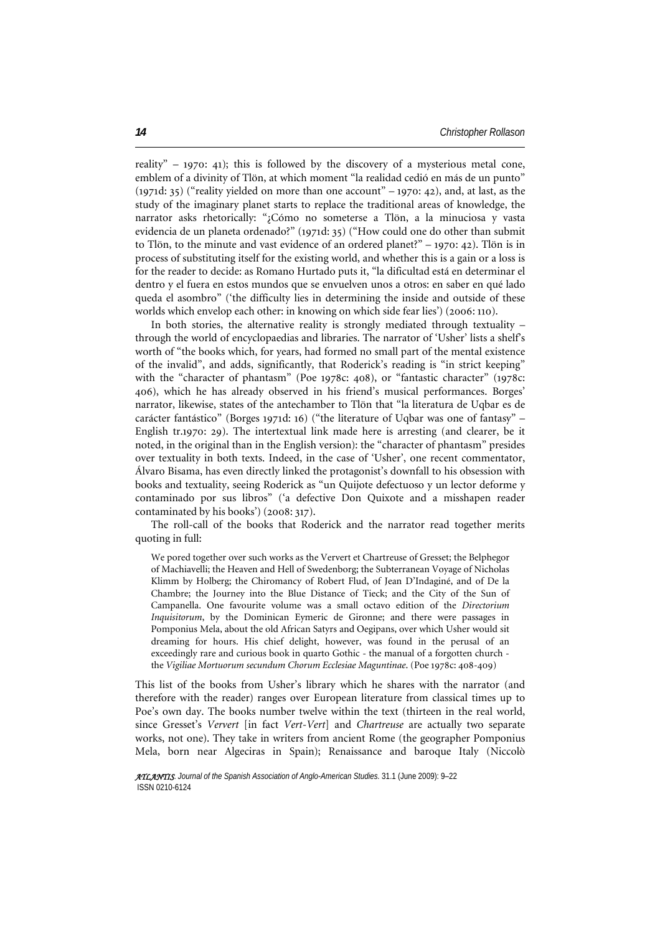reality" – 1970: 41); this is followed by the discovery of a mysterious metal cone, emblem of a divinity of Tlön, at which moment "la realidad cedió en más de un punto" (1971d: 35) ("reality yielded on more than one account" – 1970: 42), and, at last, as the study of the imaginary planet starts to replace the traditional areas of knowledge, the narrator asks rhetorically: "¿Cómo no someterse a Tlön, a la minuciosa y vasta evidencia de un planeta ordenado?" (1971d: 35) ("How could one do other than submit to Tlön, to the minute and vast evidence of an ordered planet?" – 1970: 42). Tlön is in process of substituting itself for the existing world, and whether this is a gain or a loss is for the reader to decide: as Romano Hurtado puts it, "la dificultad está en determinar el dentro y el fuera en estos mundos que se envuelven unos a otros: en saber en qué lado queda el asombro" ('the difficulty lies in determining the inside and outside of these worlds which envelop each other: in knowing on which side fear lies') (2006: 110).

In both stories, the alternative reality is strongly mediated through textuality – through the world of encyclopaedias and libraries. The narrator of 'Usher' lists a shelf's worth of "the books which, for years, had formed no small part of the mental existence of the invalid", and adds, significantly, that Roderick's reading is "in strict keeping" with the "character of phantasm" (Poe 1978c: 408), or "fantastic character" (1978c: 406), which he has already observed in his friend's musical performances. Borges' narrator, likewise, states of the antechamber to Tlön that "la literatura de Uqbar es de carácter fantástico" (Borges 1971d: 16) ("the literature of Uqbar was one of fantasy" – English tr.1970: 29). The intertextual link made here is arresting (and clearer, be it noted, in the original than in the English version): the "character of phantasm" presides over textuality in both texts. Indeed, in the case of 'Usher', one recent commentator, Álvaro Bisama, has even directly linked the protagonist's downfall to his obsession with books and textuality, seeing Roderick as "un Quijote defectuoso y un lector deforme y contaminado por sus libros" ('a defective Don Quixote and a misshapen reader contaminated by his books') (2008: 317).

The roll-call of the books that Roderick and the narrator read together merits quoting in full:

We pored together over such works as the Ververt et Chartreuse of Gresset; the Belphegor of Machiavelli; the Heaven and Hell of Swedenborg; the Subterranean Voyage of Nicholas Klimm by Holberg; the Chiromancy of Robert Flud, of Jean D'Indaginé, and of De la Chambre; the Journey into the Blue Distance of Tieck; and the City of the Sun of Campanella. One favourite volume was a small octavo edition of the *Directorium Inquisitorum*, by the Dominican Eymeric de Gironne; and there were passages in Pomponius Mela, about the old African Satyrs and Oegipans, over which Usher would sit dreaming for hours. His chief delight, however, was found in the perusal of an exceedingly rare and curious book in quarto Gothic - the manual of a forgotten church the *Vigiliae Mortuorum secundum Chorum Ecclesiae Maguntinae*. (Poe 1978c: 408-409)

This list of the books from Usher's library which he shares with the narrator (and therefore with the reader) ranges over European literature from classical times up to Poe's own day. The books number twelve within the text (thirteen in the real world, since Gresset's *Ververt* [in fact *Vert-Vert*] and *Chartreuse* are actually two separate works, not one). They take in writers from ancient Rome (the geographer Pomponius Mela, born near Algeciras in Spain); Renaissance and baroque Italy (Niccolò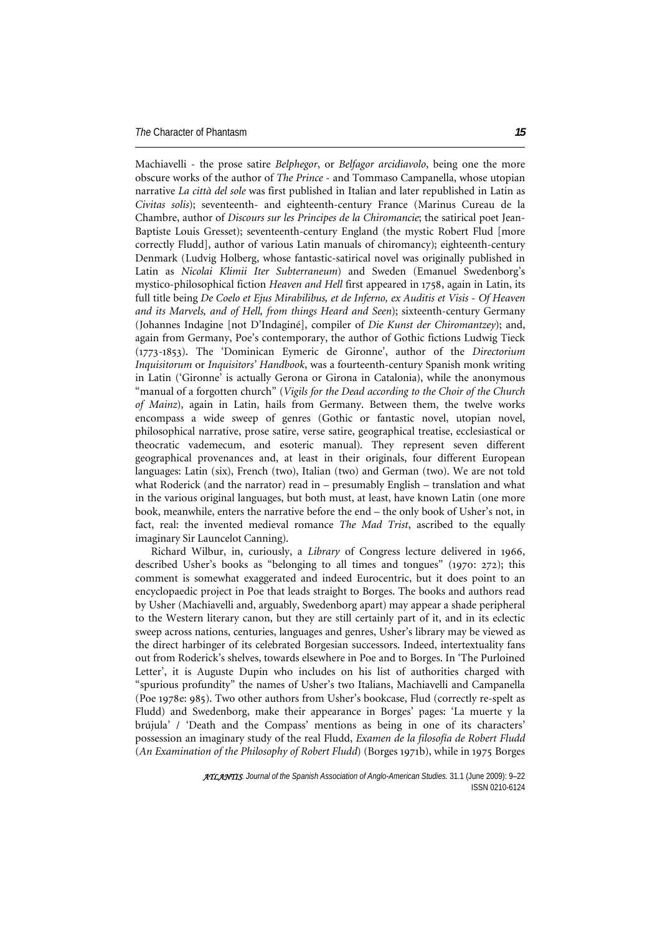Machiavelli - the prose satire *Belphegor*, or *Belfagor arcidiavolo*, being one the more obscure works of the author of *The Prince* - and Tommaso Campanella, whose utopian narrative *La città del sole* was first published in Italian and later republished in Latin as *Civitas solis*); seventeenth- and eighteenth-century France (Marinus Cureau de la Chambre, author of *Discours sur les Principes de la Chiromancie*; the satirical poet Jean-Baptiste Louis Gresset); seventeenth-century England (the mystic Robert Flud [more correctly Fludd], author of various Latin manuals of chiromancy); eighteenth-century Denmark (Ludvig Holberg, whose fantastic-satirical novel was originally published in Latin as *Nicolai Klimii Iter Subterraneum*) and Sweden (Emanuel Swedenborg's mystico-philosophical fiction *Heaven and Hell* first appeared in 1758, again in Latin, its full title being *De Coelo et Ejus Mirabilibus, et de Inferno, ex Auditis et Visis* - *Of Heaven and its Marvels, and of Hell, from things Heard and Seen*); sixteenth-century Germany (Johannes Indagine [not D'Indaginé], compiler of *Die Kunst der Chiromantzey*); and, again from Germany, Poe's contemporary, the author of Gothic fictions Ludwig Tieck (1773-1853). The 'Dominican Eymeric de Gironne', author of the *Directorium Inquisitorum* or *Inquisitors' Handbook*, was a fourteenth-century Spanish monk writing in Latin ('Gironne' is actually Gerona or Girona in Catalonia), while the anonymous "manual of a forgotten church" (*Vigils for the Dead according to the Choir of the Church of Mainz*), again in Latin, hails from Germany. Between them, the twelve works encompass a wide sweep of genres (Gothic or fantastic novel, utopian novel, philosophical narrative, prose satire, verse satire, geographical treatise, ecclesiastical or theocratic vademecum, and esoteric manual). They represent seven different geographical provenances and, at least in their originals, four different European languages: Latin (six), French (two), Italian (two) and German (two). We are not told what Roderick (and the narrator) read in – presumably English – translation and what in the various original languages, but both must, at least, have known Latin (one more book, meanwhile, enters the narrative before the end – the only book of Usher's not, in fact, real: the invented medieval romance *The Mad Trist*, ascribed to the equally imaginary Sir Launcelot Canning).

Richard Wilbur, in, curiously, a *Library* of Congress lecture delivered in 1966, described Usher's books as "belonging to all times and tongues" (1970: 272); this comment is somewhat exaggerated and indeed Eurocentric, but it does point to an encyclopaedic project in Poe that leads straight to Borges. The books and authors read by Usher (Machiavelli and, arguably, Swedenborg apart) may appear a shade peripheral to the Western literary canon, but they are still certainly part of it, and in its eclectic sweep across nations, centuries, languages and genres, Usher's library may be viewed as the direct harbinger of its celebrated Borgesian successors. Indeed, intertextuality fans out from Roderick's shelves, towards elsewhere in Poe and to Borges. In 'The Purloined Letter', it is Auguste Dupin who includes on his list of authorities charged with "spurious profundity" the names of Usher's two Italians, Machiavelli and Campanella (Poe 1978e: 985). Two other authors from Usher's bookcase, Flud (correctly re-spelt as Fludd) and Swedenborg, make their appearance in Borges' pages: 'La muerte y la brújula' / 'Death and the Compass' mentions as being in one of its characters' possession an imaginary study of the real Fludd, *Examen de la filosofía de Robert Fludd* (*An Examination of the Philosophy of Robert Fludd*) (Borges 1971b), while in 1975 Borges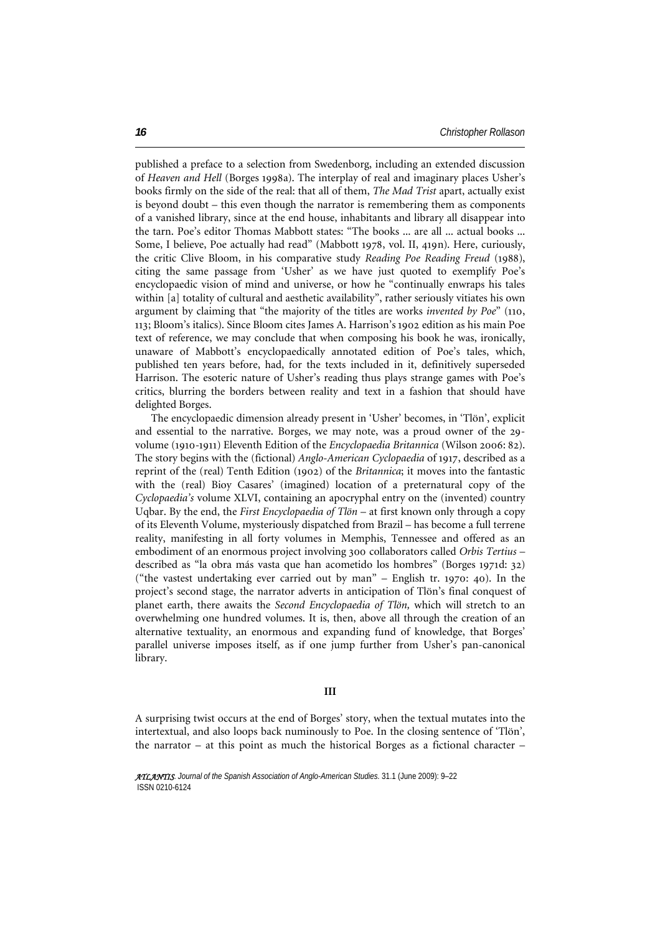published a preface to a selection from Swedenborg, including an extended discussion of *Heaven and Hell* (Borges 1998a). The interplay of real and imaginary places Usher's books firmly on the side of the real: that all of them, *The Mad Trist* apart, actually exist is beyond doubt – this even though the narrator is remembering them as components of a vanished library, since at the end house, inhabitants and library all disappear into the tarn. Poe's editor Thomas Mabbott states: "The books ... are all ... actual books ... Some, I believe, Poe actually had read" (Mabbott 1978, vol. II, 419n). Here, curiously, the critic Clive Bloom, in his comparative study *Reading Poe Reading Freud* (1988), citing the same passage from 'Usher' as we have just quoted to exemplify Poe's encyclopaedic vision of mind and universe, or how he "continually enwraps his tales within [a] totality of cultural and aesthetic availability", rather seriously vitiates his own argument by claiming that "the majority of the titles are works *invented by Poe*" (110, 113; Bloom's italics). Since Bloom cites James A. Harrison's 1902 edition as his main Poe text of reference, we may conclude that when composing his book he was, ironically, unaware of Mabbott's encyclopaedically annotated edition of Poe's tales, which, published ten years before, had, for the texts included in it, definitively superseded Harrison. The esoteric nature of Usher's reading thus plays strange games with Poe's critics, blurring the borders between reality and text in a fashion that should have delighted Borges.

The encyclopaedic dimension already present in 'Usher' becomes, in 'Tlön', explicit and essential to the narrative. Borges, we may note, was a proud owner of the 29 volume (1910-1911) Eleventh Edition of the *Encyclopaedia Britannica* (Wilson 2006: 82). The story begins with the (fictional) *Anglo-American Cyclopaedia* of 1917, described as a reprint of the (real) Tenth Edition (1902) of the *Britannica*; it moves into the fantastic with the (real) Bioy Casares' (imagined) location of a preternatural copy of the *Cyclopaedia's* volume XLVI, containing an apocryphal entry on the (invented) country Uqbar. By the end, the *First Encyclopaedia of Tlön* – at first known only through a copy of its Eleventh Volume, mysteriously dispatched from Brazil – has become a full terrene reality, manifesting in all forty volumes in Memphis, Tennessee and offered as an embodiment of an enormous project involving 300 collaborators called *Orbis Tertius* – described as "la obra más vasta que han acometido los hombres" (Borges 1971d: 32) ("the vastest undertaking ever carried out by man" – English tr. 1970: 40). In the project's second stage, the narrator adverts in anticipation of Tlön's final conquest of planet earth, there awaits the *Second Encyclopaedia of Tlön,* which will stretch to an overwhelming one hundred volumes. It is, then, above all through the creation of an alternative textuality, an enormous and expanding fund of knowledge, that Borges' parallel universe imposes itself, as if one jump further from Usher's pan-canonical library.

## **III**

A surprising twist occurs at the end of Borges' story, when the textual mutates into the intertextual, and also loops back numinously to Poe. In the closing sentence of 'Tlön', the narrator – at this point as much the historical Borges as a fictional character –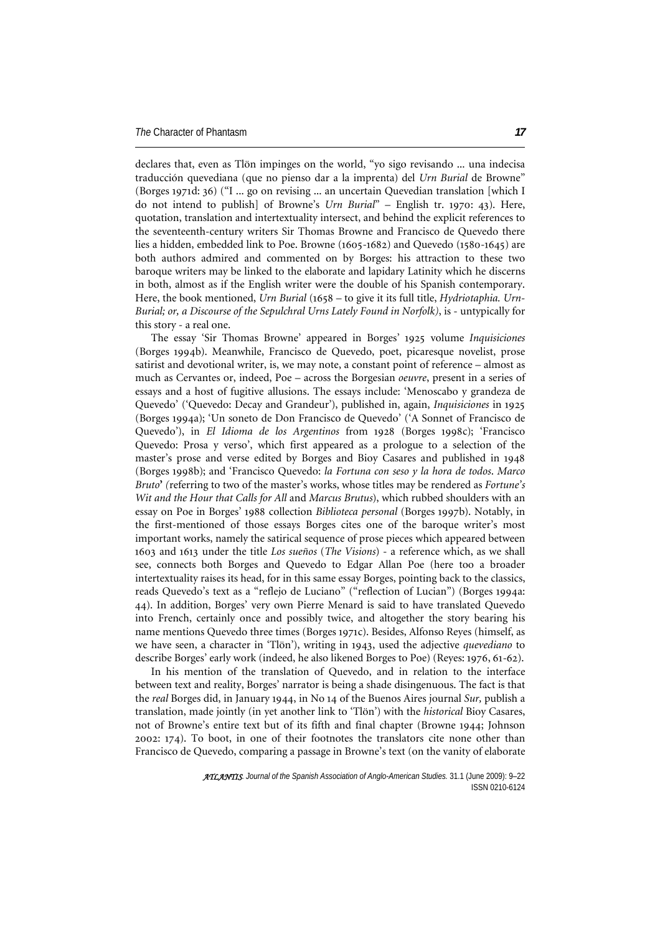declares that, even as Tlön impinges on the world, "yo sigo revisando ... una indecisa traducción quevediana (que no pienso dar a la imprenta) del *Urn Burial* de Browne" (Borges 1971d: 36) ("I ... go on revising ... an uncertain Quevedian translation [which I do not intend to publish] of Browne's *Urn Burial*" – English tr. 1970: 43). Here, quotation, translation and intertextuality intersect, and behind the explicit references to the seventeenth-century writers Sir Thomas Browne and Francisco de Quevedo there lies a hidden, embedded link to Poe. Browne (1605-1682) and Quevedo (1580-1645) are both authors admired and commented on by Borges: his attraction to these two baroque writers may be linked to the elaborate and lapidary Latinity which he discerns in both, almost as if the English writer were the double of his Spanish contemporary. Here, the book mentioned, *Urn Burial* (1658 – to give it its full title, *Hydriotaphia. Urn-Burial; or, a Discourse of the Sepulchral Urns Lately Found in Norfolk)*, is - untypically for this story - a real one.

The essay 'Sir Thomas Browne' appeared in Borges' 1925 volume *Inquisiciones* (Borges 1994b). Meanwhile, Francisco de Quevedo, poet, picaresque novelist, prose satirist and devotional writer, is, we may note, a constant point of reference – almost as much as Cervantes or, indeed, Poe – across the Borgesian *oeuvre*, present in a series of essays and a host of fugitive allusions. The essays include: 'Menoscabo y grandeza de Quevedo' ('Quevedo: Decay and Grandeur'), published in, again, *Inquisiciones* in 1925 (Borges 1994a); 'Un soneto de Don Francisco de Quevedo' ('A Sonnet of Francisco de Quevedo'), in *El Idioma de los Argentinos* from 1928 (Borges 1998c); 'Francisco Quevedo: Prosa y verso', which first appeared as a prologue to a selection of the master's prose and verse edited by Borges and Bioy Casares and published in 1948 (Borges 1998b); and 'Francisco Quevedo: *la Fortuna con seso y la hora de todos*. *Marco Bruto***'** *(*referring to two of the master's works, whose titles may be rendered as *Fortune's Wit and the Hour that Calls for All* and *Marcus Brutus*), which rubbed shoulders with an essay on Poe in Borges' 1988 collection *Biblioteca personal* (Borges 1997b). Notably, in the first-mentioned of those essays Borges cites one of the baroque writer's most important works, namely the satirical sequence of prose pieces which appeared between 1603 and 1613 under the title *Los sueños* (*The Visions*) - a reference which, as we shall see, connects both Borges and Quevedo to Edgar Allan Poe (here too a broader intertextuality raises its head, for in this same essay Borges, pointing back to the classics, reads Quevedo's text as a "reflejo de Luciano" ("reflection of Lucian") (Borges 1994a: 44). In addition, Borges' very own Pierre Menard is said to have translated Quevedo into French, certainly once and possibly twice, and altogether the story bearing his name mentions Quevedo three times (Borges 1971c). Besides, Alfonso Reyes (himself, as we have seen, a character in 'Tlön'), writing in 1943, used the adjective *quevediano* to describe Borges' early work (indeed, he also likened Borges to Poe) (Reyes: 1976, 61-62).

In his mention of the translation of Quevedo, and in relation to the interface between text and reality, Borges' narrator is being a shade disingenuous. The fact is that the *real* Borges did, in January 1944, in No 14 of the Buenos Aires journal *Sur,* publish a translation, made jointly (in yet another link to 'Tlön') with the *historical* Bioy Casares, not of Browne's entire text but of its fifth and final chapter (Browne 1944; Johnson 2002: 174). To boot, in one of their footnotes the translators cite none other than Francisco de Quevedo, comparing a passage in Browne's text (on the vanity of elaborate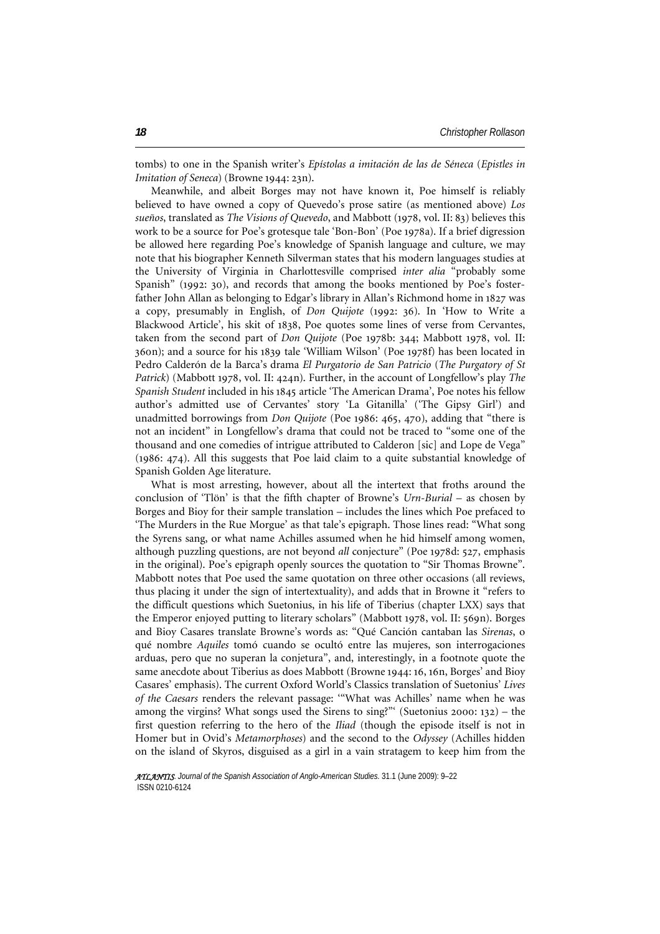tombs) to one in the Spanish writer's *Epístolas a imitación de las de Séneca* (*Epistles in Imitation of Seneca*) (Browne 1944: 23n).

Meanwhile, and albeit Borges may not have known it, Poe himself is reliably believed to have owned a copy of Quevedo's prose satire (as mentioned above) *Los sueños*, translated as *The Visions of Quevedo*, and Mabbott (1978, vol. II: 83) believes this work to be a source for Poe's grotesque tale 'Bon-Bon' (Poe 1978a). If a brief digression be allowed here regarding Poe's knowledge of Spanish language and culture, we may note that his biographer Kenneth Silverman states that his modern languages studies at the University of Virginia in Charlottesville comprised *inter alia* "probably some Spanish" (1992: 30), and records that among the books mentioned by Poe's fosterfather John Allan as belonging to Edgar's library in Allan's Richmond home in 1827 was a copy, presumably in English, of *Don Quijote* (1992: 36). In 'How to Write a Blackwood Article', his skit of 1838, Poe quotes some lines of verse from Cervantes, taken from the second part of *Don Quijote* (Poe 1978b: 344; Mabbott 1978, vol. II: 360n); and a source for his 1839 tale 'William Wilson' (Poe 1978f) has been located in Pedro Calderón de la Barca's drama *El Purgatorio de San Patricio* (*The Purgatory of St Patrick*) (Mabbott 1978, vol. II: 424n). Further, in the account of Longfellow's play *The Spanish Student* included in his 1845 article 'The American Drama', Poe notes his fellow author's admitted use of Cervantes' story 'La Gitanilla' ('The Gipsy Girl') and unadmitted borrowings from *Don Quijote* (Poe 1986: 465, 470), adding that "there is not an incident" in Longfellow's drama that could not be traced to "some one of the thousand and one comedies of intrigue attributed to Calderon [sic] and Lope de Vega" (1986: 474). All this suggests that Poe laid claim to a quite substantial knowledge of Spanish Golden Age literature.

What is most arresting, however, about all the intertext that froths around the conclusion of 'Tlön' is that the fifth chapter of Browne's *Urn-Burial* – as chosen by Borges and Bioy for their sample translation – includes the lines which Poe prefaced to 'The Murders in the Rue Morgue' as that tale's epigraph. Those lines read: "What song the Syrens sang, or what name Achilles assumed when he hid himself among women, although puzzling questions, are not beyond *all* conjecture" (Poe 1978d: 527, emphasis in the original). Poe's epigraph openly sources the quotation to "Sir Thomas Browne". Mabbott notes that Poe used the same quotation on three other occasions (all reviews, thus placing it under the sign of intertextuality), and adds that in Browne it "refers to the difficult questions which Suetonius, in his life of Tiberius (chapter LXX) says that the Emperor enjoyed putting to literary scholars" (Mabbott 1978, vol. II: 569n). Borges and Bioy Casares translate Browne's words as: "Qué Canción cantaban las *Sirenas*, o qué nombre *Aquiles* tomó cuando se ocultó entre las mujeres, son interrogaciones arduas, pero que no superan la conjetura", and, interestingly, in a footnote quote the same anecdote about Tiberius as does Mabbott (Browne 1944: 16, 16n, Borges' and Bioy Casares' emphasis). The current Oxford World's Classics translation of Suetonius' *Lives of the Caesars* renders the relevant passage: '"What was Achilles' name when he was among the virgins? What songs used the Sirens to sing?"' (Suetonius 2000: 132) – the first question referring to the hero of the *Iliad* (though the episode itself is not in Homer but in Ovid's *Metamorphoses*) and the second to the *Odyssey* (Achilles hidden on the island of Skyros, disguised as a girl in a vain stratagem to keep him from the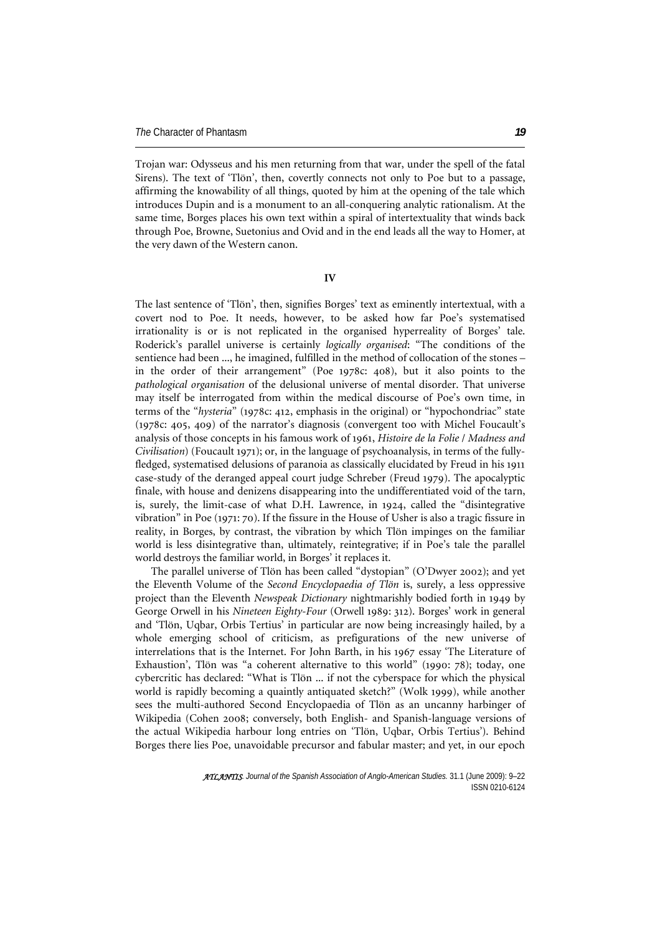Trojan war: Odysseus and his men returning from that war, under the spell of the fatal Sirens). The text of 'Tlön', then, covertly connects not only to Poe but to a passage, affirming the knowability of all things, quoted by him at the opening of the tale which introduces Dupin and is a monument to an all-conquering analytic rationalism. At the same time, Borges places his own text within a spiral of intertextuality that winds back through Poe, Browne, Suetonius and Ovid and in the end leads all the way to Homer, at the very dawn of the Western canon.

**IV** 

The last sentence of 'Tlön', then, signifies Borges' text as eminently intertextual, with a covert nod to Poe. It needs, however, to be asked how far Poe's systematised irrationality is or is not replicated in the organised hyperreality of Borges' tale. Roderick's parallel universe is certainly *logically organised*: "The conditions of the sentience had been ..., he imagined, fulfilled in the method of collocation of the stones – in the order of their arrangement" (Poe 1978c: 408), but it also points to the *pathological organisation* of the delusional universe of mental disorder. That universe may itself be interrogated from within the medical discourse of Poe's own time, in terms of the "*hysteria*" (1978c: 412, emphasis in the original) or "hypochondriac" state (1978c: 405, 409) of the narrator's diagnosis (convergent too with Michel Foucault's analysis of those concepts in his famous work of 1961, *Histoire de la Folie* / *Madness and Civilisation*) (Foucault 1971); or, in the language of psychoanalysis, in terms of the fullyfledged, systematised delusions of paranoia as classically elucidated by Freud in his 1911 case-study of the deranged appeal court judge Schreber (Freud 1979). The apocalyptic finale, with house and denizens disappearing into the undifferentiated void of the tarn, is, surely, the limit-case of what D.H. Lawrence, in 1924, called the "disintegrative vibration" in Poe (1971: 70). If the fissure in the House of Usher is also a tragic fissure in reality, in Borges, by contrast, the vibration by which Tlön impinges on the familiar world is less disintegrative than, ultimately, reintegrative; if in Poe's tale the parallel world destroys the familiar world, in Borges' it replaces it.

The parallel universe of Tlön has been called "dystopian" (O'Dwyer 2002); and yet the Eleventh Volume of the *Second Encyclopaedia of Tlön* is, surely, a less oppressive project than the Eleventh *Newspeak Dictionary* nightmarishly bodied forth in 1949 by George Orwell in his *Nineteen Eighty-Four* (Orwell 1989: 312). Borges' work in general and 'Tlön, Uqbar, Orbis Tertius' in particular are now being increasingly hailed, by a whole emerging school of criticism, as prefigurations of the new universe of interrelations that is the Internet. For John Barth, in his 1967 essay 'The Literature of Exhaustion', Tlön was "a coherent alternative to this world" (1990: 78); today, one cybercritic has declared: "What is Tlön ... if not the cyberspace for which the physical world is rapidly becoming a quaintly antiquated sketch?" (Wolk 1999), while another sees the multi-authored Second Encyclopaedia of Tlön as an uncanny harbinger of Wikipedia (Cohen 2008; conversely, both English- and Spanish-language versions of the actual Wikipedia harbour long entries on 'Tlön, Uqbar, Orbis Tertius'). Behind Borges there lies Poe, unavoidable precursor and fabular master; and yet, in our epoch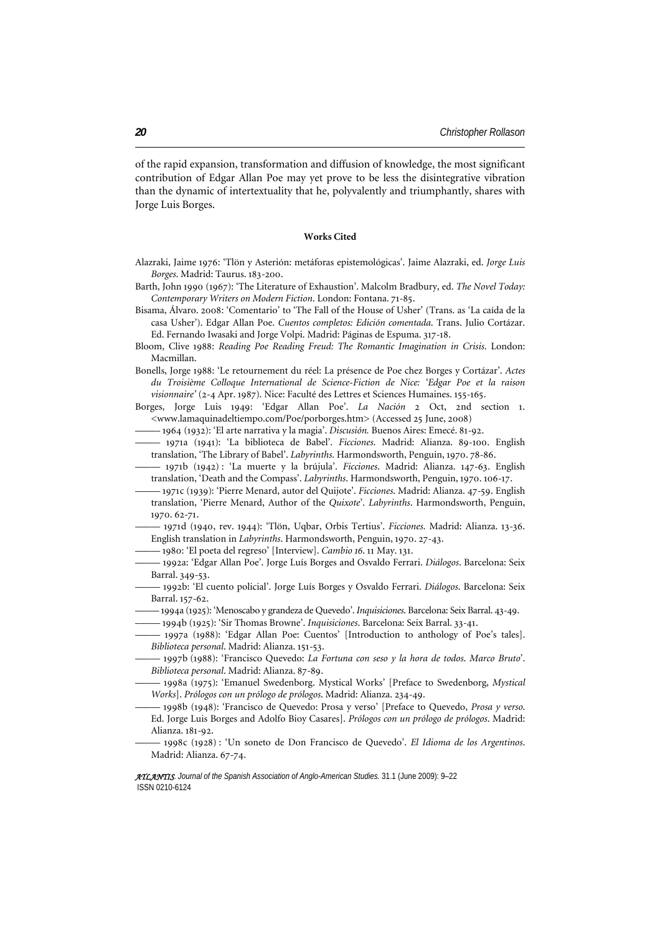of the rapid expansion, transformation and diffusion of knowledge, the most significant contribution of Edgar Allan Poe may yet prove to be less the disintegrative vibration than the dynamic of intertextuality that he, polyvalently and triumphantly, shares with Jorge Luis Borges.

## **Works Cited**

- Alazraki, Jaime 1976: 'Tlön y Asterión: metáforas epistemológicas'. Jaime Alazraki, ed. *Jorge Luis Borges*. Madrid: Taurus. 183-200.
- Barth, John 1990 (1967): 'The Literature of Exhaustion'. Malcolm Bradbury, ed. *The Novel Today: Contemporary Writers on Modern Fiction*. London: Fontana. 71-85.
- Bisama, Álvaro. 2008: 'Comentario' to 'The Fall of the House of Usher' (Trans. as 'La caída de la casa Usher'). Edgar Allan Poe. *Cuentos completos: Edición comentada*. Trans. Julio Cortázar. Ed. Fernando Iwasaki and Jorge Volpi. Madrid: Páginas de Espuma. 317-18.
- Bloom, Clive 1988: *Reading Poe Reading Freud: The Romantic Imagination in Crisis*. London: Macmillan.
- Bonells, Jorge 1988: 'Le retournement du réel: La présence de Poe chez Borges y Cortázar'. *Actes du Troisième Colloque International de Science-Fiction de Nice: 'Edgar Poe et la raison visionnaire'* (2-4 Apr. 1987). Nice: Faculté des Lettres et Sciences Humaines. 155-165.
- Borges, Jorge Luis 1949: 'Edgar Allan Poe'. *La Nación* 2 Oct, 2nd section 1. <[www.lamaquinadeltiempo.com/Poe/porborges.htm>](http://www.lamaquinadeltiempo.com/Poe/porborges.htm) (Accessed 25 June, 2008)
- ––––– 1964 (1932): 'El arte narrativa y la magia'. *Discusión.* Buenos Aires: Emecé. 81-92.
- ––––– 1971a (1941): 'La biblioteca de Babel'. *Ficciones*. Madrid: Alianza. 89-100. English translation, 'The Library of Babel'. *Labyrinths*. Harmondsworth, Penguin, 1970. 78-86.
- ––––– 1971b (1942) : 'La muerte y la brújula'. *Ficciones*. Madrid: Alianza. 147-63. English translation, 'Death and the Compass'. *Labyrinths*. Harmondsworth, Penguin, 1970. 106-17.
- ––––– 1971c (1939): 'Pierre Menard, autor del Quijote'. *Ficciones*. Madrid: Alianza. 47-59. English translation, 'Pierre Menard, Author of the *Quixote*'. *Labyrinths*. Harmondsworth, Penguin, 1970. 62-71.
- ––––– 1971d (1940, rev. 1944): 'Tlön, Uqbar, Orbis Tertius'. *Ficciones*. Madrid: Alianza. 13-36. English translation in *Labyrinths*. Harmondsworth, Penguin, 1970. 27-43.
- ––––– 1980: 'El poeta del regreso' [Interview]. *Cambio 16*. 11 May. 131.
- ––––– 1992a: 'Edgar Allan Poe'. Jorge Luís Borges and Osvaldo Ferrari. *Diálogos*. Barcelona: Seix Barral. 349-53.
- ––––– 1992b: 'El cuento policial'. Jorge Luís Borges y Osvaldo Ferrari. *Diálogos*. Barcelona: Seix Barral. 157-62.
- ––––– 1994a (1925): 'Menoscabo y grandeza de Quevedo'. *Inquisiciones*. Barcelona: Seix Barral. 43-49.
- ––––– 1994b (1925): 'Sir Thomas Browne'. *Inquisiciones*. Barcelona: Seix Barral. 33-41.
- ––––– 1997a (1988): 'Edgar Allan Poe: Cuentos' [Introduction to anthology of Poe's tales]. *Biblioteca personal*. Madrid: Alianza. 151-53.
- ––––– 1997b (1988): 'Francisco Quevedo: *La Fortuna con seso y la hora de todos*. *Marco Bruto*'. *Biblioteca personal*. Madrid: Alianza. 87-89.
- ––––– 1998a (1975): 'Emanuel Swedenborg. Mystical Works' [Preface to Swedenborg, *Mystical Works*]. *Prólogos con un prólogo de prólogos*. Madrid: Alianza. 234-49.
- ––––– 1998b (1948): 'Francisco de Quevedo: Prosa y verso' [Preface to Quevedo, *Prosa y verso*. Ed. Jorge Luis Borges and Adolfo Bioy Casares]. *Prólogos con un prólogo de prólogos*. Madrid: Alianza. 181-92.
- ––––– 1998c (1928) : 'Un soneto de Don Francisco de Quevedo'. *El Idioma de los Argentinos*. Madrid: Alianza. 67-74.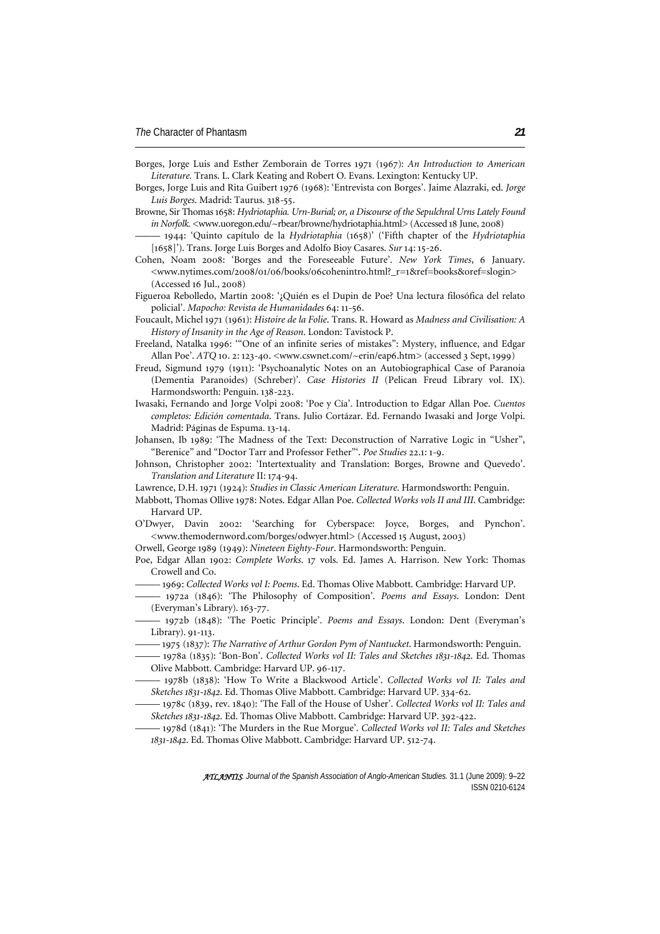- Borges, Jorge Luis and Esther Zemborain de Torres 1971 (1967): *An Introduction to American Literature.* Trans. L. Clark Keating and Robert O. Evans. Lexington: Kentucky UP.
- Borges, Jorge Luis and Rita Guibert 1976 (1968): 'Entrevista con Borges'. Jaime Alazraki, ed. *Jorge Luis Borges*. Madrid: Taurus. 318-55.
- Browne, Sir Thomas 1658: *Hydriotaphia. Urn-Burial; or, a Discourse of the Sepulchral Urns Lately Found in Norfolk.* [<www.uoregon.edu/~rbear/browne/hydriotaphia.html](http://www.uoregon.edu/%7Erbear/browne/hydriotaphia.html)> (Accessed 18 June, 2008)
- ––––– 1944: 'Quinto capítulo de la *Hydriotaphia* (1658)' ('Fifth chapter of the *Hydriotaphia*  [1658]'). Trans. Jorge Luis Borges and Adolfo Bioy Casares. *Sur* 14: 15-26.
- Cohen, Noam 2008: 'Borges and the Foreseeable Future'. *New York Times*, 6 January. <[www.nytimes.com/2008/01/06/books/06cohenintro.html?\\_r=1&ref=books&oref=slogin](http://www.nytimes.com/2008/01/06/books/06cohenintro.html?_r=1&ref=books&oref=slogin)> (Accessed 16 Jul., 2008)
- Figueroa Rebolledo, Martín 2008: '¿Quién es el Dupin de Poe? Una lectura filosófica del relato policial'. *Mapocho: Revista de Humanidades* 64: 11-56.
- Foucault, Michel 1971 (1961): *Histoire de la Folie*. Trans. R. Howard as *Madness and Civilisation: A History of Insanity in the Age of Reason*. London: Tavistock P.
- Freeland, Natalka 1996: '"One of an infinite series of mistakes": Mystery, influence, and Edgar Allan Poe'. *ATQ* 10. 2: 123-40. <www.cswnet.com/~erin/eap6.htm> (accessed 3 Sept, 1999)
- Freud, Sigmund 1979 (1911): 'Psychoanalytic Notes on an Autobiographical Case of Paranoia (Dementia Paranoides) (Schreber)'. *Case Histories II* (Pelican Freud Library vol. IX). Harmondsworth: Penguin. 138-223.
- Iwasaki, Fernando and Jorge Volpi 2008: 'Poe y Cía'. Introduction to Edgar Allan Poe. *Cuentos completos: Edición comentada*. Trans. Julio Cortázar. Ed. Fernando Iwasaki and Jorge Volpi. Madrid: Páginas de Espuma. 13-14.
- Johansen, Ib 1989: 'The Madness of the Text: Deconstruction of Narrative Logic in "Usher", "Berenice" and "Doctor Tarr and Professor Fether"'. *Poe Studies* 22.1: 1-9.
- Johnson, Christopher 2002: 'Intertextuality and Translation: Borges, Browne and Quevedo'. *Translation and Literature* II: 174-94.
- Lawrence, D.H. 1971 (1924): *Studies in Classic American Literature*. Harmondsworth: Penguin.
- Mabbott, Thomas Ollive 1978: Notes. Edgar Allan Poe. *Collected Works vols II and III*. Cambridge: Harvard UP.
- O'Dwyer, Davin 2002: 'Searching for Cyberspace: Joyce, Borges, and Pynchon'. <[www.themodernword.com/borges/odwyer.html>](http://www.themodernword.com/borges/odwyer.html) (Accessed 15 August, 2003)
- Orwell, George 1989 (1949): *Nineteen Eighty-Four*. Harmondsworth: Penguin.
- Poe, Edgar Allan 1902: *Complete Works*. 17 vols. Ed. James A. Harrison. New York: Thomas Crowell and Co.
- ––––– 1969: *Collected Works vol I: Poems*. Ed. Thomas Olive Mabbott. Cambridge: Harvard UP.
- ––––– 1972a (1846): 'The Philosophy of Composition'. *Poems and Essays*. London: Dent (Everyman's Library). 163-77.
- ––––– 1972b (1848): 'The Poetic Principle'. *Poems and Essays*. London: Dent (Everyman's Library). 91-113.
- ––––– 1975 (1837): *The Narrative of Arthur Gordon Pym of Nantucket*. Harmondsworth: Penguin.
- ––––– 1978a (1835): 'Bon-Bon'. *Collected Works vol II: Tales and Sketches 1831-1842*. Ed. Thomas Olive Mabbott. Cambridge: Harvard UP. 96-117.
- ––––– 1978b (1838): 'How To Write a Blackwood Article'. *Collected Works vol II: Tales and Sketches 1831-1842*. Ed. Thomas Olive Mabbott. Cambridge: Harvard UP. 334-62.
- ––––– 1978c (1839, rev. 1840): 'The Fall of the House of Usher'. *Collected Works vol II: Tales and Sketches 1831-1842*. Ed. Thomas Olive Mabbott. Cambridge: Harvard UP. 392-422.
- ––––– 1978d (1841): 'The Murders in the Rue Morgue'. *Collected Works vol II: Tales and Sketches 1831-1842*. Ed. Thomas Olive Mabbott. Cambridge: Harvard UP. 512-74.